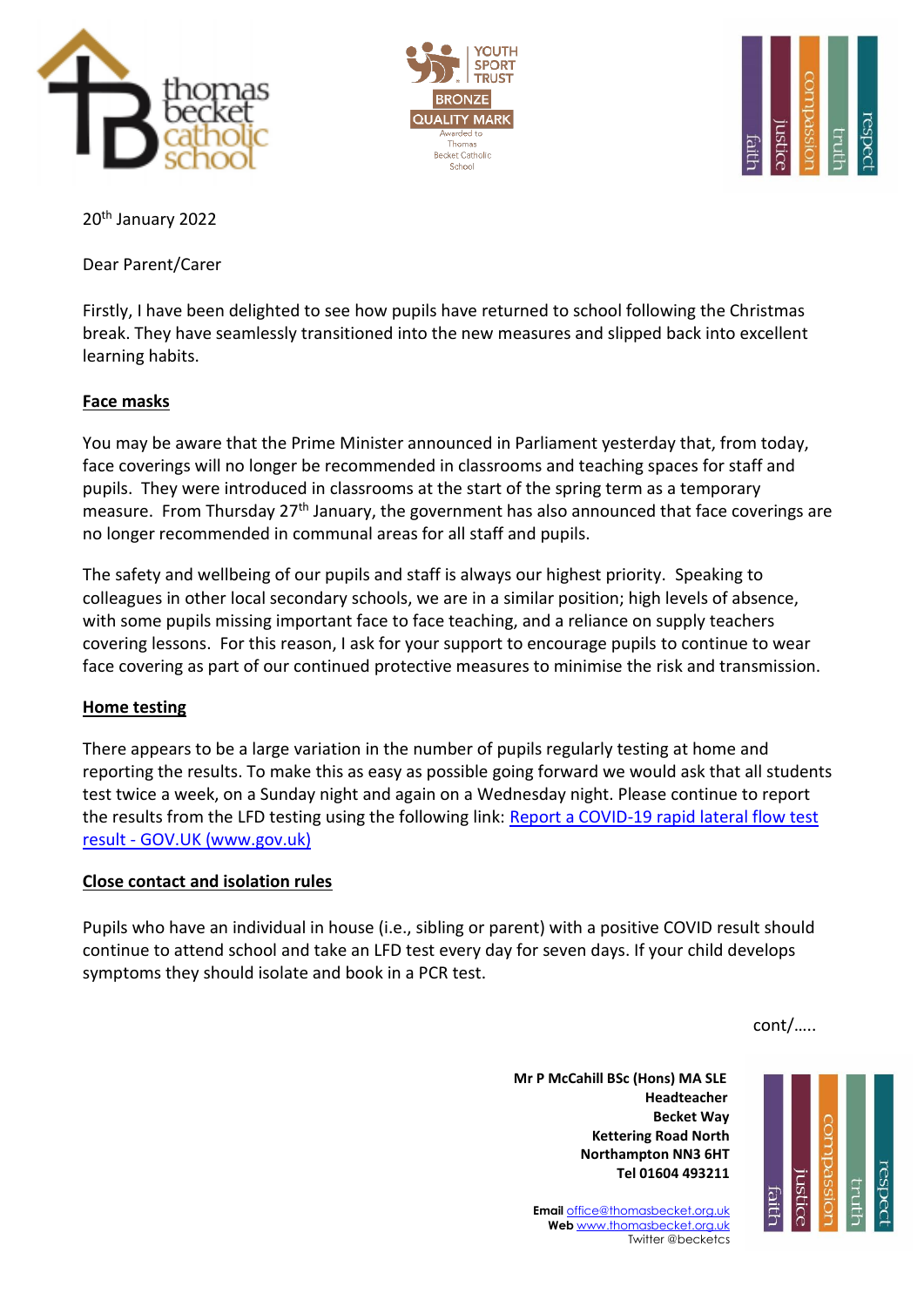





20th January 2022

Dear Parent/Carer

Firstly, I have been delighted to see how pupils have returned to school following the Christmas break. They have seamlessly transitioned into the new measures and slipped back into excellent learning habits.

## **Face masks**

You may be aware that the Prime Minister announced in Parliament yesterday that, from today, face coverings will no longer be recommended in classrooms and teaching spaces for staff and pupils. They were introduced in classrooms at the start of the spring term as a temporary measure. From Thursday 27<sup>th</sup> January, the government has also announced that face coverings are no longer recommended in communal areas for all staff and pupils.

The safety and wellbeing of our pupils and staff is always our highest priority. Speaking to colleagues in other local secondary schools, we are in a similar position; high levels of absence, with some pupils missing important face to face teaching, and a reliance on supply teachers covering lessons. For this reason, I ask for your support to encourage pupils to continue to wear face covering as part of our continued protective measures to minimise the risk and transmission.

## **Home testing**

There appears to be a large variation in the number of pupils regularly testing at home and reporting the results. To make this as easy as possible going forward we would ask that all students test twice a week, on a Sunday night and again on a Wednesday night. Please continue to report the results from the LFD testing using the following link: Report a COVID-19 rapid lateral flow test result - [GOV.UK \(www.gov.uk\)](https://www.gov.uk/report-covid19-result?utm_source=13%20December%202021%20C19&utm_medium=Daily%20Email%20C19&utm_campaign=DfE%20C19)

## **Close contact and isolation rules**

Pupils who have an individual in house (i.e., sibling or parent) with a positive COVID result should continue to attend school and take an LFD test every day for seven days. If your child develops symptoms they should isolate and book in a PCR test.

cont/…..

 **Mr P McCahill BSc (Hons) MA SLE** با المساوت المساوت المساوت المساوت المساوت المساوت المساوت المساوت المساوت المساوت المساوت المساوت المساوت الم **Becket Way Kettering Road North Northampton NN3 6HT Tel 01604 493211**



**Email** [office@thomasbecket.org.uk](mailto:office@thomasbecket.org.uk) **Web** [www.thomasbecket.org.uk](http://www.thomasbecket.org.uk/) Twitter @becketcs